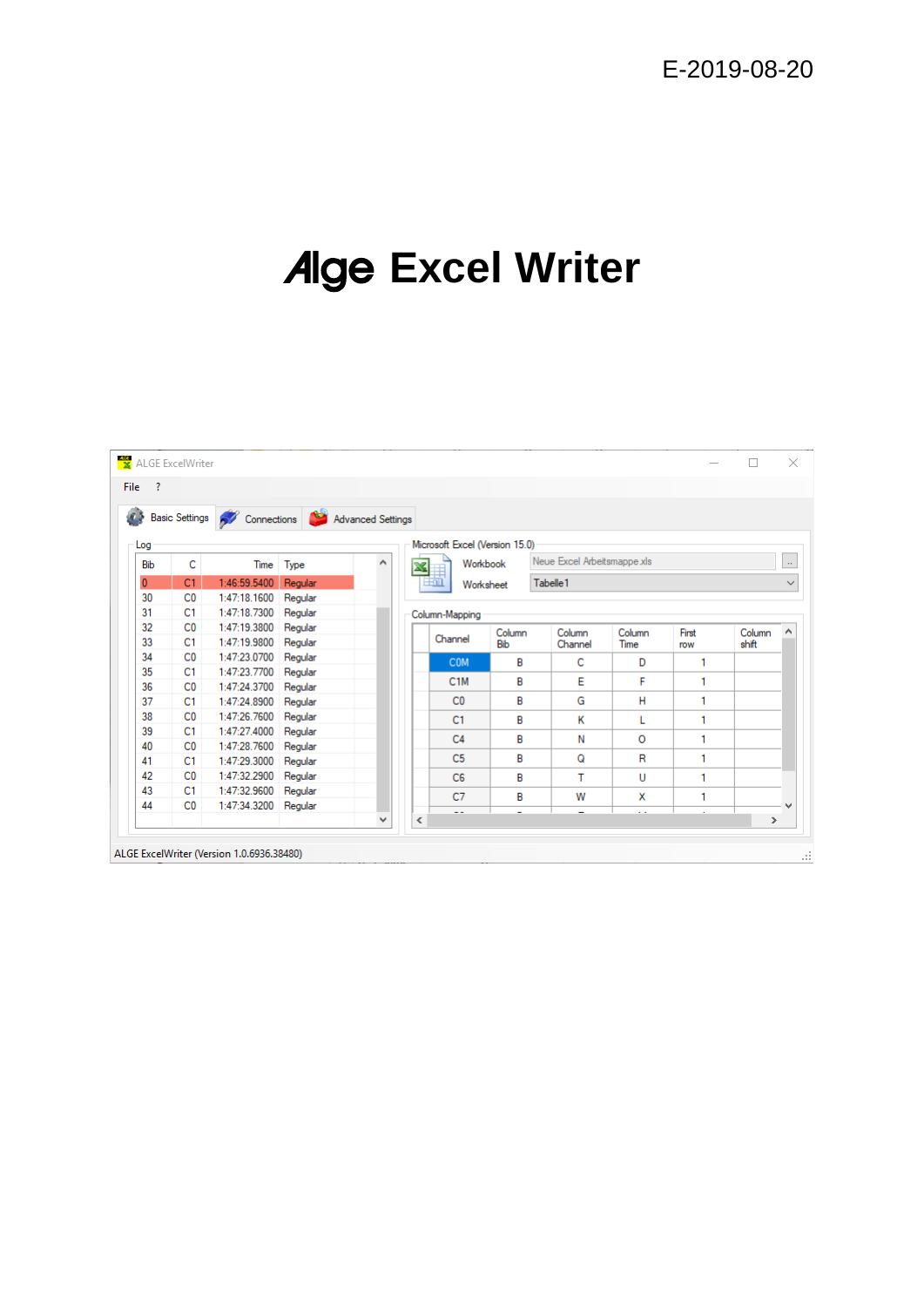# Alge **Excel Writer**

| £3           |                | Basic Settings <b>A</b> Connections <b>A</b> Advanced Settings |         |   |                |                  |                                |                             |                      |       |               |  |
|--------------|----------------|----------------------------------------------------------------|---------|---|----------------|------------------|--------------------------------|-----------------------------|----------------------|-------|---------------|--|
|              |                |                                                                |         |   |                |                  | Microsoft Excel (Version 15.0) |                             |                      |       |               |  |
| Log          |                |                                                                |         |   |                |                  |                                | Neue Excel Arbeitsmappe.xls |                      |       |               |  |
| <b>Bib</b>   | c              | Time                                                           | Type    | ۸ | X              | Workbook         |                                |                             |                      |       |               |  |
| $\mathbf{0}$ | C1             | 1:46:59.5400                                                   | Regular |   | $\pm$ 00       | Worksheet        |                                | Tabelle 1                   |                      |       |               |  |
| 30           | C <sub>0</sub> | 1:47:18.1600                                                   | Regular |   |                |                  |                                |                             |                      |       |               |  |
| 31           | C <sub>1</sub> | 1:47:18.7300                                                   | Regular |   | Column-Mapping |                  |                                |                             |                      |       |               |  |
| 32           | C <sub>0</sub> | 1:47:19.3800                                                   | Regular |   |                |                  | Column                         | Column                      | Column               | First | Column        |  |
| 33           | C1             | 1:47:19.9800                                                   | Regular |   |                | Channel          | Bib                            | Channel                     | Time                 | row   | shift         |  |
| 34           | C <sub>0</sub> | 1:47:23.0700                                                   | Regular |   |                | <b>COM</b>       | B                              | C                           | D                    | 1     |               |  |
| 35           | C1             | 1:47:23.7700                                                   | Regular |   |                |                  |                                |                             |                      | 1     |               |  |
| 36           | C <sub>0</sub> | 1:47:24.3700                                                   | Regular |   |                | C <sub>1</sub> M | в                              | Е                           | F                    |       |               |  |
| 37           | C <sub>1</sub> | 1:47:24.8900                                                   | Regular |   |                | C <sub>0</sub>   | B                              | G                           | н                    | 1     |               |  |
| 38           | C <sub>0</sub> | 1:47:26.7600                                                   | Regular |   |                | C1               | B                              | к                           | L                    | 1     |               |  |
| 39           | C1             | 1:47:27.4000                                                   | Regular |   |                | C <sub>4</sub>   | в                              | Ν                           | $\circ$              | 1     |               |  |
| 40           | C <sub>0</sub> | 1:47:28.7600                                                   | Regular |   |                |                  |                                |                             |                      |       |               |  |
| 41           | C1             | 1:47:29.3000                                                   | Regular |   |                | C <sub>5</sub>   | в                              | Q                           | R                    | 1     |               |  |
| 42           | C <sub>0</sub> | 1:47:32.2900                                                   | Regular |   |                | C <sub>6</sub>   | в                              | т                           | U                    | 1     |               |  |
| 43           | C <sub>1</sub> | 1:47:32.9600                                                   | Regular |   |                | C7               | в                              | W                           | x                    |       |               |  |
| 44           | C <sub>0</sub> | 1:47:34.3200 Regular                                           |         |   |                |                  | ٠                              |                             | $\ddot{\phantom{0}}$ |       |               |  |
|              |                |                                                                |         | ٧ | ∢              |                  |                                |                             |                      |       | $\rightarrow$ |  |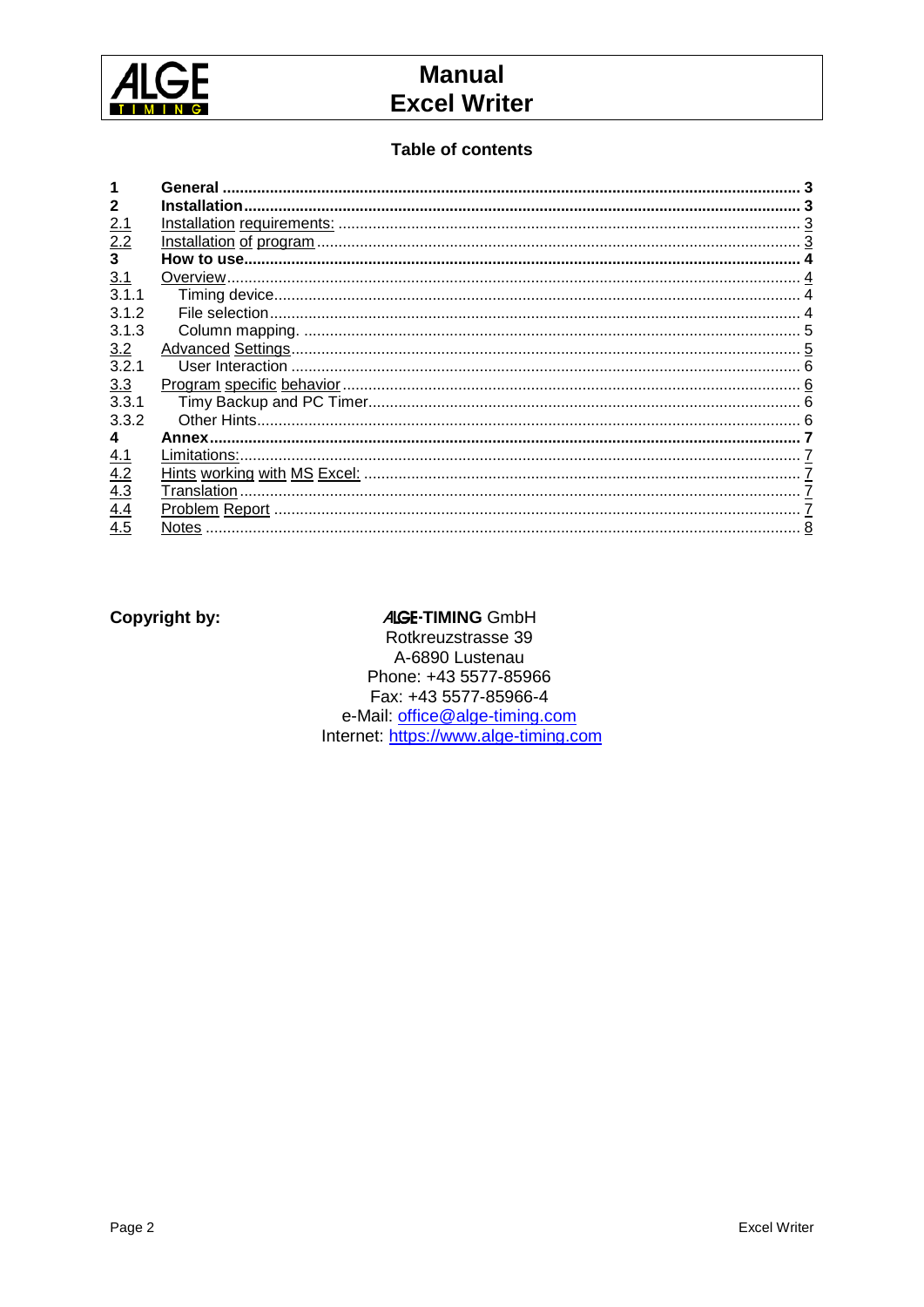

## **Manual Excel Writer**

#### **Table of contents**

|                 | General |  |
|-----------------|---------|--|
|                 |         |  |
| 2.1             |         |  |
| $\frac{2.2}{3}$ |         |  |
|                 |         |  |
| 3.1             |         |  |
| 311             |         |  |
| 3.1.2           |         |  |
| 3.1.3           |         |  |
| 3.2             |         |  |
| 3.2.1           |         |  |
| 3.3             |         |  |
| 3.31            |         |  |
| 3.3.2           |         |  |
|                 | Annex.  |  |
| <u>4.1</u>      |         |  |
| 4.2             |         |  |
| 4.3             |         |  |
| 4.4             |         |  |
| 4.5             |         |  |

#### **Copyright by:**

#### **ALGE-TIMING GmbH**

Rotkreuzstrasse 39 A-6890 Lustenau Phone: +43 5577-85966 Fax: +43 5577-85966-4 e-Mail: office@alge-timing.com<br>Internet: https://www.alge-timing.com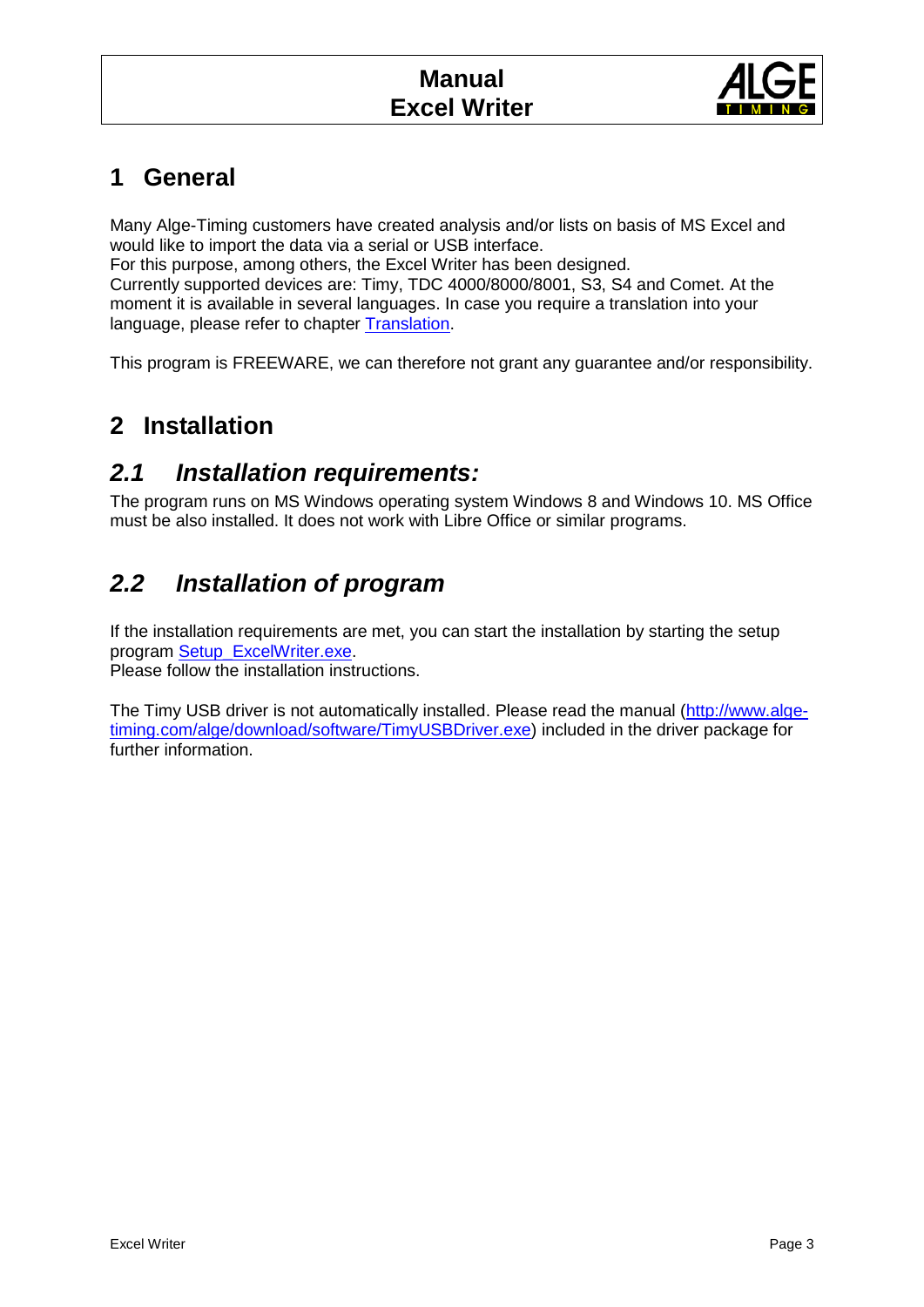

# **1 General**

Many Alge-Timing customers have created analysis and/or lists on basis of MS Excel and would like to import the data via a serial or USB interface.

For this purpose, among others, the Excel Writer has been designed. Currently supported devices are: Timy, TDC 4000/8000/8001, S3, S4 and Comet. At the moment it is available in several languages. In case you require a translation into your language, please refer to chapter Translation.

This program is FREEWARE, we can therefore not grant any guarantee and/or responsibility.

## **2 Installation**

### *2.1 Installation requirements:*

The program runs on MS Windows operating system Windows 8 and Windows 10. MS Office must be also installed. It does not work with Libre Office or similar programs.

# *2.2 Installation of program*

If the installation requirements are met, you can start the installation by starting the setup program [Setup\\_ExcelWriter.exe.](http://www.alge-timing.com/alge/download/software/Setup_ExcelWriter.exe)

Please follow the installation instructions.

The Timy USB driver is not automatically installed. Please read the manual [\(http://www.alge](http://www.alge-timing.com/alge/download/software/TimyUSBDriver.exe)[timing.com/alge/download/software/TimyUSBDriver.exe\)](http://www.alge-timing.com/alge/download/software/TimyUSBDriver.exe) included in the driver package for further information.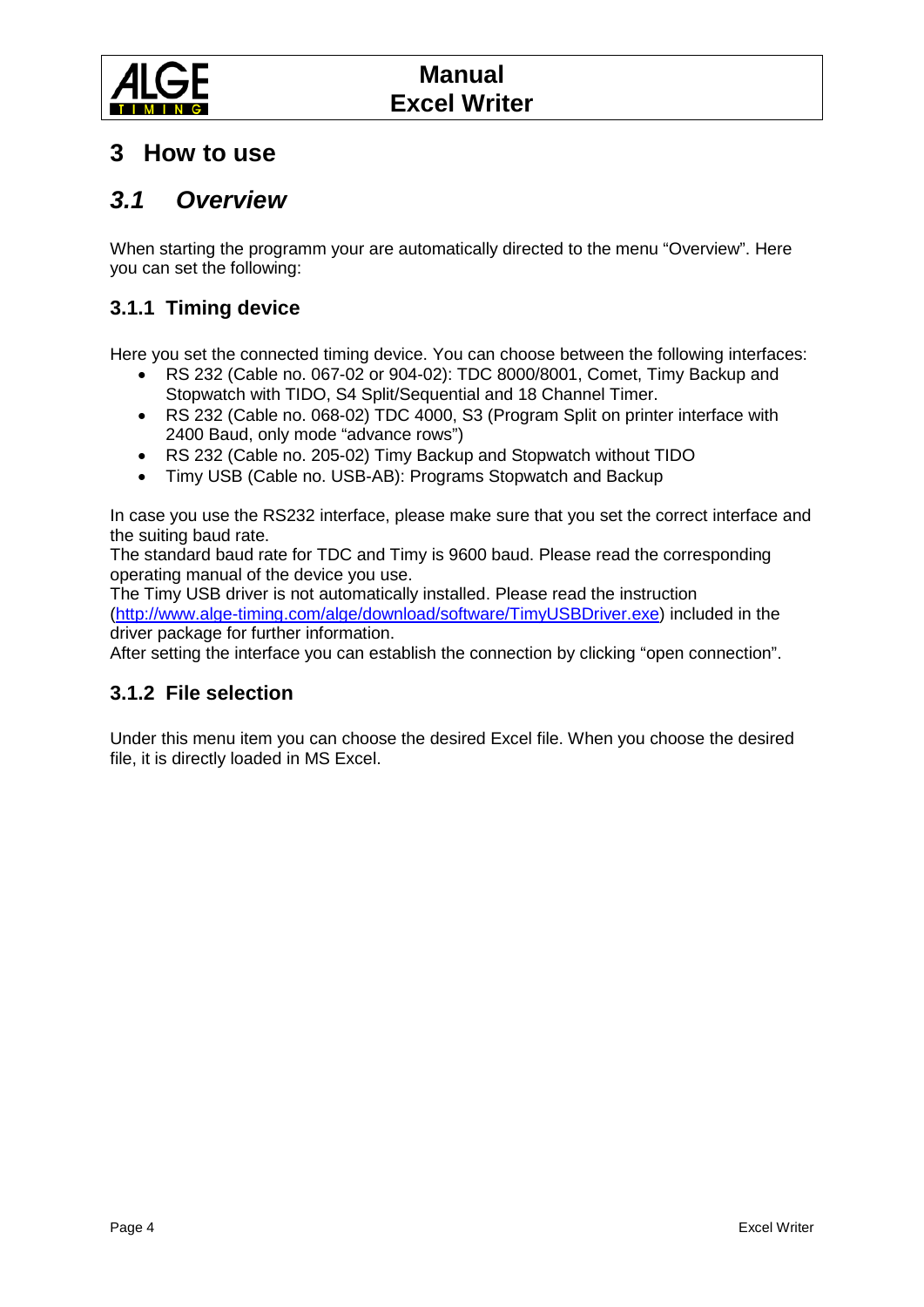

### **3 How to use**

## *3.1 Overview*

When starting the programm your are automatically directed to the menu "Overview". Here you can set the following:

#### **3.1.1 Timing device**

Here you set the connected timing device. You can choose between the following interfaces:

- RS 232 (Cable no. 067-02 or 904-02): TDC 8000/8001, Comet, Timy Backup and Stopwatch with TIDO, S4 Split/Sequential and 18 Channel Timer.
- RS 232 (Cable no. 068-02) TDC 4000, S3 (Program Split on printer interface with 2400 Baud, only mode "advance rows")
- RS 232 (Cable no. 205-02) Timy Backup and Stopwatch without TIDO
- Timy USB (Cable no. USB-AB): Programs Stopwatch and Backup

In case you use the RS232 interface, please make sure that you set the correct interface and the suiting baud rate.

The standard baud rate for TDC and Timy is 9600 baud. Please read the corresponding operating manual of the device you use.

The Timy USB driver is not automatically installed. Please read the instruction [\(http://www.alge-timing.com/alge/download/software/TimyUSBDriver.exe\)](http://www.alge-timing.com/alge/download/software/TimyUSBDriver.exe) included in the driver package for further information.

After setting the interface you can establish the connection by clicking "open connection".

#### **3.1.2 File selection**

Under this menu item you can choose the desired Excel file. When you choose the desired file, it is directly loaded in MS Excel.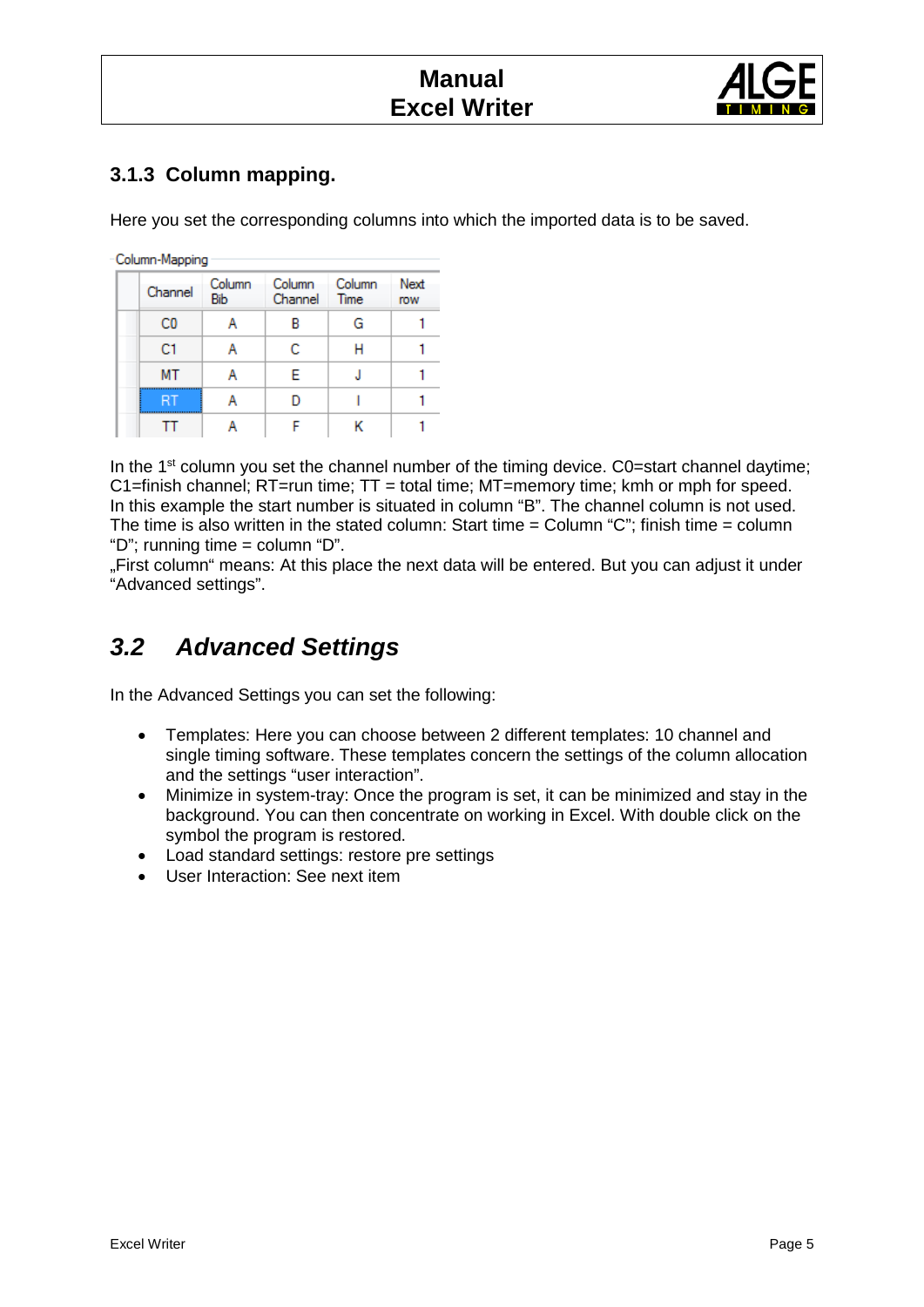

#### <span id="page-4-0"></span>**3.1.3 Column mapping.**

Here you set the corresponding columns into which the imported data is to be saved.

Column-Mapping

| Channel        | Column<br>Bib | Column<br>Channel | Column<br>Time | Next<br>row |
|----------------|---------------|-------------------|----------------|-------------|
| C <sub>0</sub> |               |                   | G              |             |
| C1             |               | с                 |                |             |
| MT             |               | F                 |                |             |
|                |               |                   |                |             |
|                |               |                   |                |             |

In the 1<sup>st</sup> column you set the channel number of the timing device. C0=start channel daytime; C1=finish channel;  $RT$ =run time;  $TT$  = total time;  $MT$ =memory time; kmh or mph for speed. In this example the start number is situated in column "B". The channel column is not used. The time is also written in the stated column: Start time = Column "C"; finish time = column "D"; running time = column "D".

"First column" means: At this place the next data will be entered. But you can adjust it under "Advanced settings".

# *3.2 Advanced Settings*

In the Advanced Settings you can set the following:

- Templates: Here you can choose between 2 different templates: 10 channel and single timing software. These templates concern the settings of the column allocation and the settings "user interaction".
- Minimize in system-tray: Once the program is set, it can be minimized and stay in the background. You can then concentrate on working in Excel. With double click on the symbol the program is restored.
- Load standard settings: restore pre settings
- User Interaction: See next item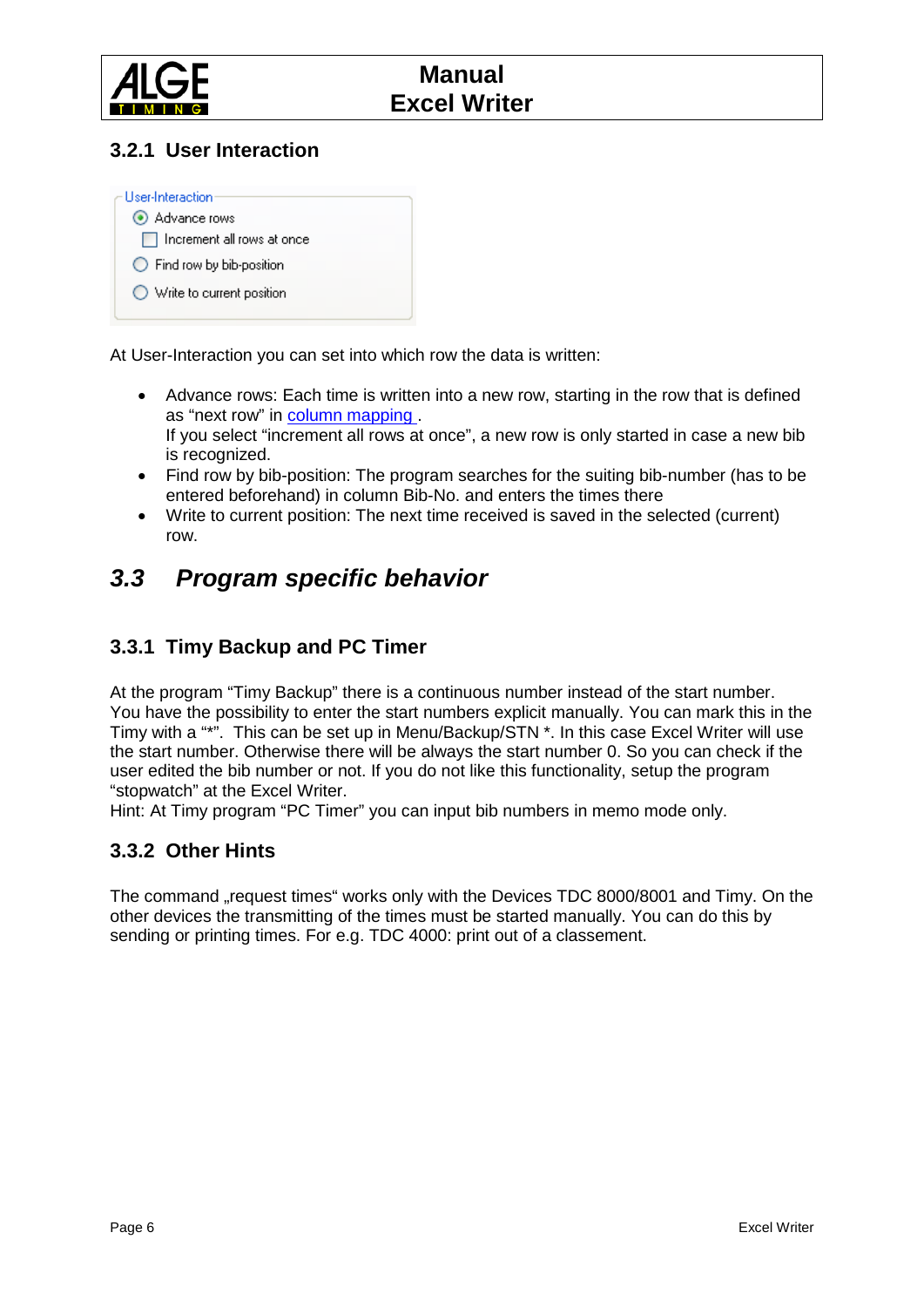

#### **3.2.1 User Interaction**



At User-Interaction you can set into which row the data is written:

- Advance rows: Each time is written into a new row, starting in the row that is defined as "next row" in [column mapping .](#page-4-0) If you select "increment all rows at once", a new row is only started in case a new bib is recognized.
- Find row by bib-position: The program searches for the suiting bib-number (has to be entered beforehand) in column Bib-No. and enters the times there
- Write to current position: The next time received is saved in the selected (current) row.

## *3.3 Program specific behavior*

#### **3.3.1 Timy Backup and PC Timer**

At the program "Timy Backup" there is a continuous number instead of the start number. You have the possibility to enter the start numbers explicit manually. You can mark this in the Timy with a "\*". This can be set up in Menu/Backup/STN \*. In this case Excel Writer will use the start number. Otherwise there will be always the start number 0. So you can check if the user edited the bib number or not. If you do not like this functionality, setup the program "stopwatch" at the Excel Writer.

Hint: At Timy program "PC Timer" you can input bib numbers in memo mode only.

#### **3.3.2 Other Hints**

The command "request times" works only with the Devices TDC 8000/8001 and Timy. On the other devices the transmitting of the times must be started manually. You can do this by sending or printing times. For e.g. TDC 4000: print out of a classement.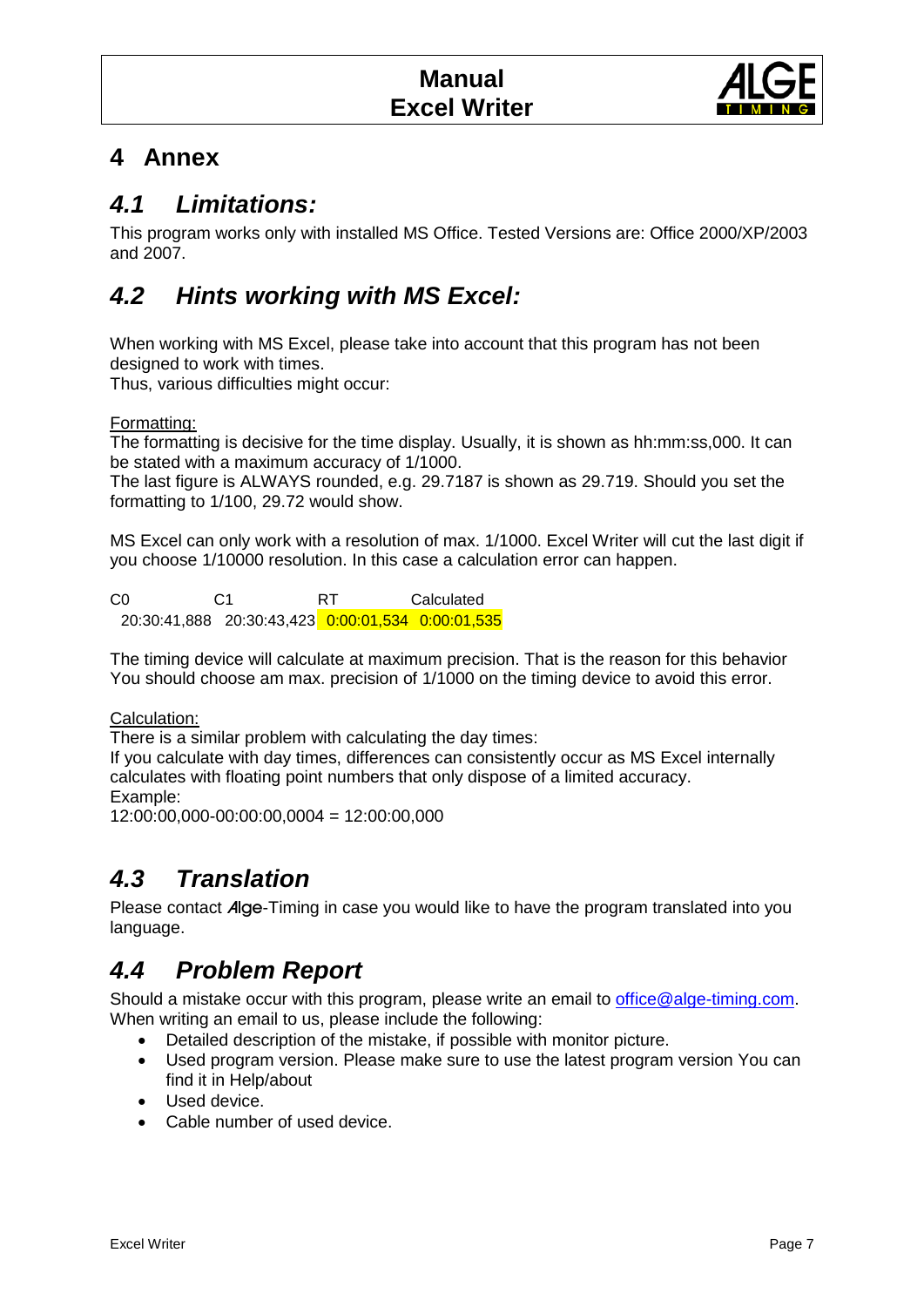

## **4 Annex**

## *4.1 Limitations:*

This program works only with installed MS Office. Tested Versions are: Office 2000/XP/2003 and 2007.

# *4.2 Hints working with MS Excel:*

When working with MS Excel, please take into account that this program has not been designed to work with times.

Thus, various difficulties might occur:

Formatting:

The formatting is decisive for the time display. Usually, it is shown as hh:mm:ss,000. It can be stated with a maximum accuracy of 1/1000.

The last figure is ALWAYS rounded, e.g. 29.7187 is shown as 29.719. Should you set the formatting to 1/100, 29.72 would show.

MS Excel can only work with a resolution of max. 1/1000. Excel Writer will cut the last digit if you choose 1/10000 resolution. In this case a calculation error can happen.

C0 C1 RT Calculated 20:30:41,888 20:30:43,423 0:00:01,534 0:00:01,535

The timing device will calculate at maximum precision. That is the reason for this behavior You should choose am max. precision of 1/1000 on the timing device to avoid this error.

Calculation:

There is a similar problem with calculating the day times:

If you calculate with day times, differences can consistently occur as MS Excel internally calculates with floating point numbers that only dispose of a limited accuracy. Example:

12:00:00,000-00:00:00,0004 = 12:00:00,000

# *4.3 Translation*

Please contact Alge-Timing in case you would like to have the program translated into you language.

# *4.4 Problem Report*

Should a mistake occur with this program, please write an email to [office@alge-timing.com.](mailto:office@alge-timing.com) When writing an email to us, please include the following:

- Detailed description of the mistake, if possible with monitor picture.
- Used program version. Please make sure to use the latest program version You can find it in Help/about
- Used device.
- Cable number of used device.